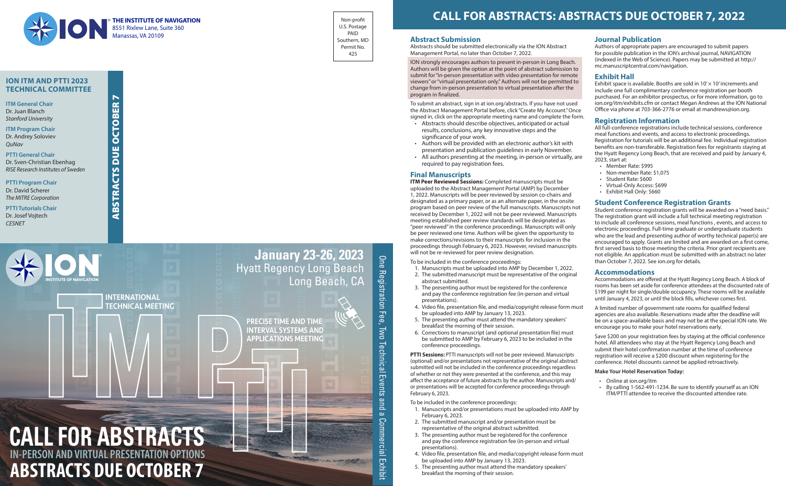### **Abstract Submission**

Abstracts should be submitted electronically via the ION Abstract Management Portal, no later than October 7, 2022.

ION strongly encourages authors to present in-person in Long Beach. Authors will be given the option at the point of abstract submission to submit for "in-person presentation with video presentation for remote viewers" or "virtual presentation only." Authors will not be permitted to change from in-person presentation to virtual presentation after the program in finalized.

To submit an abstract, sign in at ion.org/abstracts. If you have not used the Abstract Management Portal before, click "Create My Account." Once signed in, click on the appropriate meeting name and complete the form.

- Abstracts should describe objectives, anticipated or actual results, conclusions, any key innovative steps and the significance of your work.
- Authors will be provided with an electronic author's kit with presentation and publication guidelines in early November.
- All authors presenting at the meeting, in-person or virtually, are required to pay registration fees.

## **Final Manuscripts**

**ITM Peer Reviewed Sessions:** Completed manuscripts must be uploaded to the Abstract Management Portal (AMP) by December 1, 2022. Manuscripts will be peer reviewed by session co-chairs and designated as a primary paper, or as an alternate paper, in the onsite program based on peer review of the full manuscripts. Manuscripts not received by December 1, 2022 will not be peer reviewed. Manuscripts meeting established peer review standards will be designated as "peer reviewed" in the conference proceedings. Manuscripts will only be peer reviewed one time. Authors will be given the opportunity to make corrections/revisions to their manuscripts for inclusion in the proceedings through February 6, 2023. However, revised manuscripts will not be re-reviewed for peer review designation.

To be included in the conference proceedings:

Exhibit space is available. Booths are sold in  $10' \times 10'$  increments and include one full complimentary conference registration per booth purchased. For an exhibitor prospectus, or for more information, go to ion.org/itm/exhibits.cfm or contact Megan Andrews at the ION National Office via phone at 703-366-2776 or email at mandrews@ion.org.

- 1. Manuscripts must be uploaded into AMP by December 1, 2022. 2. The submitted manuscript must be representative of the original abstract submitted.
- 3. The presenting author must be registered for the conference and pay the conference registration fee (in-person and virtual presentations).
- 4. Video file, presentation file, and media/copyright release form must be uploaded into AMP by January 13, 2023. 5. The presenting author must attend the mandatory speakers' breakfast the morning of their session. A limited number of government rate rooms for qualified federal agencies are also available. Reservations made after the deadline will be on a space-available basis and may not be at the special ION rate. We encourage you to make your hotel reservations early.
- 
- 6. Corrections to manuscript (and optional presentation file) must be submitted to AMP by February 6, 2023 to be included in the conference proceedings.

**PTTI Sessions:** PTTI manuscripts will not be peer reviewed. Manuscripts (optional) and/or presentations not representative of the original abstract submitted will not be included in the conference proceedings regardless of whether or not they were presented at the conference, and this may affect the acceptance of future abstracts by the author. Manuscripts and/ or presentations will be accepted for conference proceedings through February 6, 2023.

To be included in the conference proceedings:

- 1. Manuscripts and/or presentations must be uploaded into AMP by February 6, 2023.
- 2. The submitted manuscript and/or presentation must be representative of the original abstract submitted.
- 3. The presenting author must be registered for the conference and pay the conference registration fee (in-person and virtual presentations).
- 4. Video file, presentation file, and media/copyright release form must be uploaded into AMP by January 13, 2023.
- 5. The presenting author must attend the mandatory speakers' breakfast the morning of their session.

# **Journal Publication**

Authors of appropriate papers are encouraged to submit papers for possible publication in the ION's archival journal, NAVIGATION (indexed in the Web of Science). Papers may be submitted at http:// mc.manuscriptcentral.com/navigation.

## **Exhibit Hall**

## **Registration Information**

All full-conference registrations include technical sessions, conference meal functions and events, and access to electronic proceedings. Registration for tutorials will be an additional fee. Individual registration benefits are non-transferable. Registration fees for registrants staying at the Hyatt Regency Long Beach, that are received and paid by January 4, 2023, start at:

- - Member Rate: \$995
	- Non-member Rate: \$1,075
	- Student Rate: \$600
	- Virtual-Only Access: \$699 • Exhibit Hall Only: \$660

# **Student Conference Registration Grants**

Student conference registration grants will be awarded on a "need basis." The registration grant will include a full technical meeting registration to include all conference sessions, meal functions , events, and access to electronic proceedings. Full-time graduate or undergraduate students who are the lead and presenting author of worthy technical paper(s) are encouraged to apply. Grants are limited and are awarded on a first come, first served basis to those meeting the criteria. Prior grant recipients are not eligible. An application must be submitted with an abstract no later than October 7, 2022. See ion.org for details.

### **Accommodations**

Accommodations are offered at the Hyatt Regency Long Beach. A block of rooms has been set aside for conference attendees at the discounted rate of \$199 per night for single/double occupancy. These rooms will be available until January 4, 2023, or until the block fills, whichever comes first.

Save \$200 on your registration fees by staying at the official conference hotel. All attendees who stay at the Hyatt Regency Long Beach and submit their hotel confirmation number at the time of conference registration will receive a \$200 discount when registering for the conference. Hotel discounts cannot be applied retroactively.

### **Make Your Hotel Reservation Today:**

- Online at ion.org/itm
- By calling 1-562-491-1234. Be sure to identify yourself as an ION ITM/PTTI attendee to receive the discounted attendee rate.

# **CALL FOR ABSTRACTS: ABSTRACTS DUE OCTOBER 7, 2022**

**ION ITM AND PTTI 2023 TECHNICAL COMMITTEE**

**ITM General Chair** Dr. Juan Blanch *Stanford University*

**ITM Program Chair** Dr. Andrey Soloviev *QuNav*

**PTTI General Chair** Dr. Sven-Christian Ebenhag *RISE Research Institutes of Sweden*

**PTTI Program Chair** Dr. David Scherer *The MITRE Corporation*

**PTTI Tutorials Chair** Dr. Josef Vojtech *CESNET*

Non-profit U.S. Postage PAID Southern, MD Permit No. 425



ABSTRACTS DUE OCTOBER 7

**SLS** 

**BSTRA** 

๔

**BUE** 

Ŏ

 $\blacktriangleright$ 

**CTOBER**